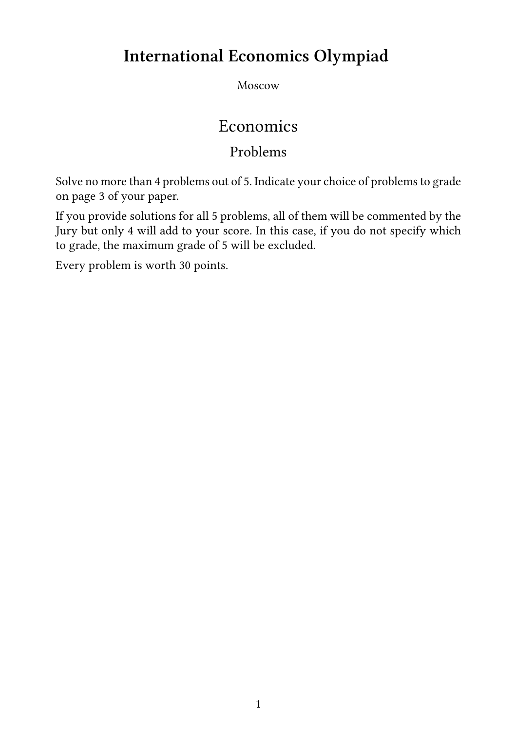# **International Economics Olympiad**

Moscow

# Economics

# Problems

Solve no more than 4 problems out of 5. Indicate your choice of problems to grade on page 3 of your paper.

If you provide solutions for all 5 problems, all of them will be commented by the Jury but only 4 will add to your score. In this case, if you do not specify which to grade, the maximum grade of 5 will be excluded.

Every problem is worth 30 points.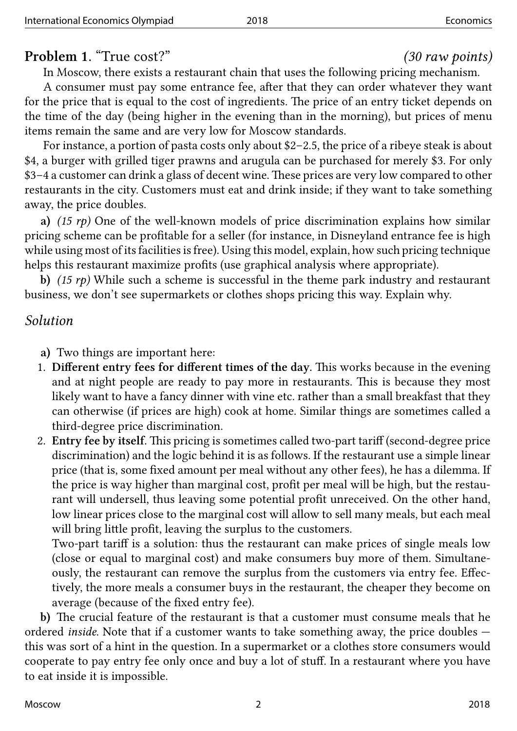### **Problem 1.** "True cost?" *(30 raw points)*

In Moscow, there exists a restaurant chain that uses the following pricing mechanism. A consumer must pay some entrance fee, after that they can order whatever they want for the price that is equal to the cost of ingredients. The price of an entry ticket depends on the time of the day (being higher in the evening than in the morning), but prices of menu items remain the same and are very low for Moscow standards.

For instance, a portion of pasta costs only about \$2–2.5, the price of a ribeye steak is about \$4, a burger with grilled tiger prawns and arugula can be purchased for merely \$3. For only \$3–4 a customer can drink a glass of decent wine. These prices are very low compared to other restaurants in the city. Customers must eat and drink inside; if they want to take something away, the price doubles.

**a)** *(15 rp)* One of the well-known models of price discrimination explains how similar pricing scheme can be profitable for a seller (for instance, in Disneyland entrance fee is high while using most of its facilities is free). Using this model, explain, how such pricing technique helps this restaurant maximize profits (use graphical analysis where appropriate).

**b)** *(15 rp)* While such a scheme is successful in the theme park industry and restaurant business, we don't see supermarkets or clothes shops pricing this way. Explain why.

### *Solution*

**a)** Two things are important here:

- 1. **Different entry fees for different times of the day.** This works because in the evening and at night people are ready to pay more in restaurants. This is because they most likely want to have a fancy dinner with vine etc. rather than a small breakfast that they can otherwise (if prices are high) cook at home. Similar things are sometimes called a third-degree price discrimination.
- 2. **Entry fee by itself.** This pricing is sometimes called two-part tariff (second-degree price discrimination) and the logic behind it is as follows. If the restaurant use a simple linear price (that is, some fixed amount per meal without any other fees), he has a dilemma. If the price is way higher than marginal cost, profit per meal will be high, but the restaurant will undersell, thus leaving some potential profit unreceived. On the other hand, low linear prices close to the marginal cost will allow to sell many meals, but each meal will bring little profit, leaving the surplus to the customers.

Two-part tariff is a solution: thus the restaurant can make prices of single meals low (close or equal to marginal cost) and make consumers buy more of them. Simultaneously, the restaurant can remove the surplus from the customers via entry fee. Effectively, the more meals a consumer buys in the restaurant, the cheaper they become on average (because of the fixed entry fee).

**b)** The crucial feature of the restaurant is that a customer must consume meals that he ordered *inside*. Note that if a customer wants to take something away, the price doubles this was sort of a hint in the question. In a supermarket or a clothes store consumers would cooperate to pay entry fee only once and buy a lot of stuff. In a restaurant where you have to eat inside it is impossible.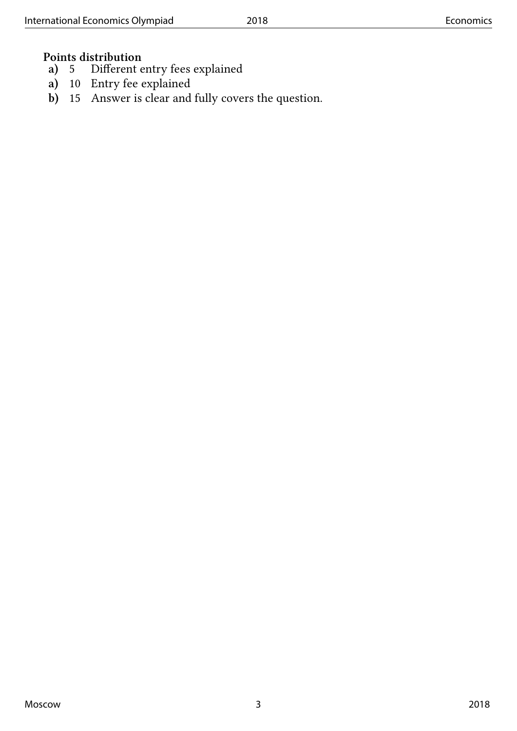# **Points distribution**<br>**a**) 5 Different e

- **a)** 5 Different entry fees explained
- **a)** 10 Entry fee explained
- **b)** 15 Answer is clear and fully covers the question.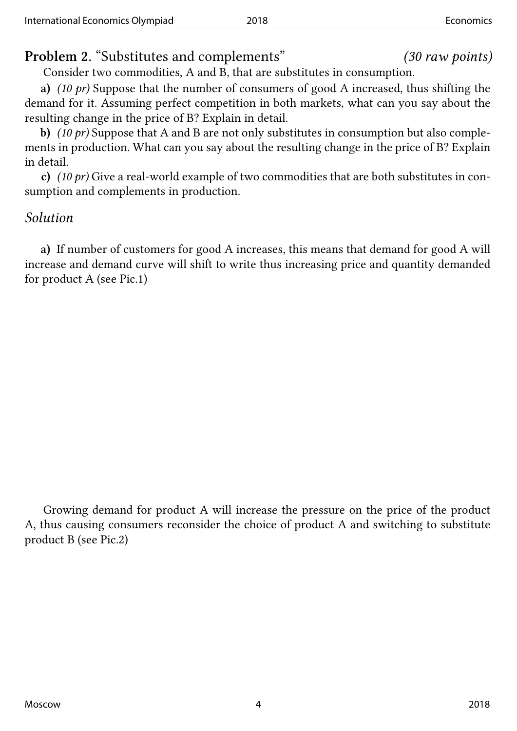**Problem 2.** "Substitutes and complements" *(30 raw points)*

Consider two commodities, A and B, that are substitutes in consumption.

**a)** *(10 pr)* Suppose that the number of consumers of good A increased, thus shifting the demand for it. Assuming perfect competition in both markets, what can you say about the resulting change in the price of B? Explain in detail.

**b)** *(10 pr)* Suppose that A and B are not only substitutes in consumption but also complements in production. What can you say about the resulting change in the price of B? Explain in detail.

**c)** *(10 pr)* Give a real-world example of two commodities that are both substitutes in consumption and complements in production.

### *Solution*

**a)** If number of customers for good A increases, this means that demand for good A will increase and demand curve will shift to write thus increasing price and quantity demanded for product A (see Pic.1)

Growing demand for product A will increase the pressure on the price of the product A, thus causing consumers reconsider the choice of product A and switching to substitute product B (see Pic.2)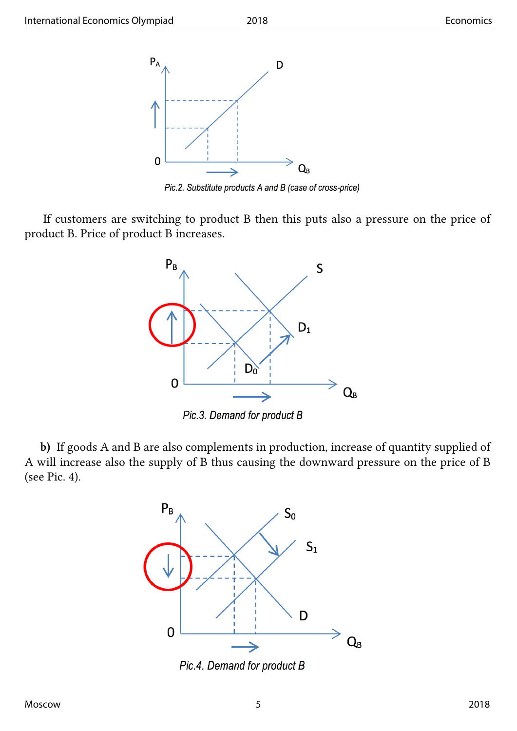

Pic.2. Substitute products A and B (case of cross-price)

If customers are switching to product B then this puts also a pressure on the price of product B. Price of product B increases.



Pic.3. Demand for product B

**b)** If goods A and B are also complements in production, increase of quantity supplied of A will increase also the supply of B thus causing the downward pressure on the price of B (see Pic. 4).



Pic.4. Demand for product B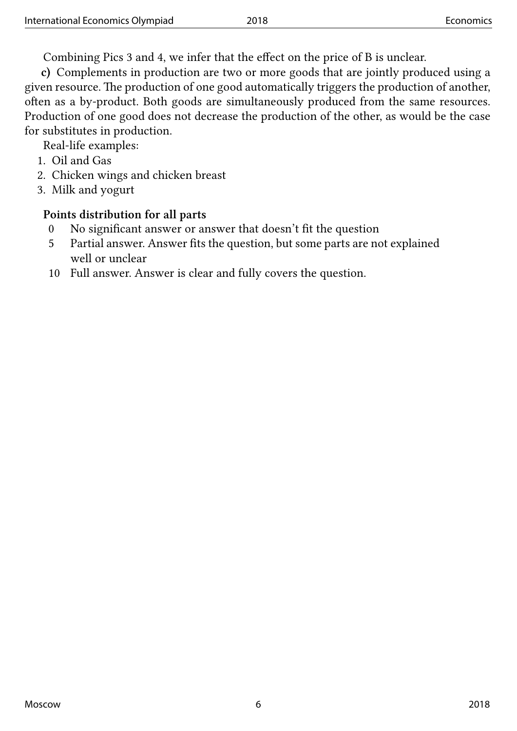Combining Pics 3 and 4, we infer that the effect on the price of B is unclear.

**c)** Complements in production are two or more goods that are jointly produced using a given resource. The production of one good automatically triggers the production of another, often as a by-product. Both goods are simultaneously produced from the same resources. Production of one good does not decrease the production of the other, as would be the case for substitutes in production.

Real-life examples:

- 1. Oil and Gas
- 2. Chicken wings and chicken breast
- 3. Milk and yogurt

### **Points distribution for all parts**

- 0 No significant answer or answer that doesn't fit the question
- 5 Partial answer. Answer fits the question, but some parts are not explained well or unclear
- 10 Full answer. Answer is clear and fully covers the question.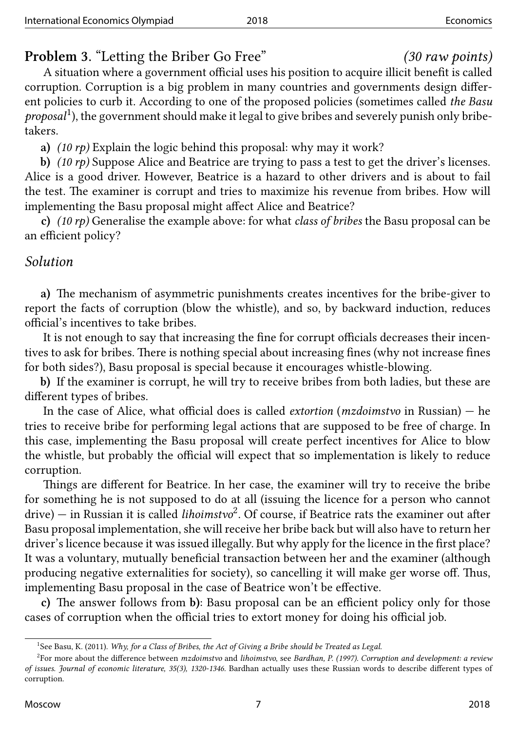### **Problem 3.** "Letting the Briber Go Free" *(30 raw points)*

A situation where a government official uses his position to acquire illicit benefit is called corruption. Corruption is a big problem in many countries and governments design different policies to curb it. According to one of the proposed policies (sometimes called *the Basu* proposal<sup>1</sup>), the government should make it legal to give bribes and severely punish only bribetakers.

**a)** *(10 rp)* Explain the logic behind this proposal: why may it work?

**b)** *(1[0](#page-6-0) rp)* Suppose Alice and Beatrice are trying to pass a test to get the driver's licenses. Alice is a good driver. However, Beatrice is a hazard to other drivers and is about to fail the test. The examiner is corrupt and tries to maximize his revenue from bribes. How will implementing the Basu proposal might affect Alice and Beatrice?

**c)** *(10 rp)* Generalise the example above: for what *class of bribes* the Basu proposal can be an efficient policy?

### *Solution*

**a)** The mechanism of asymmetric punishments creates incentives for the bribe-giver to report the facts of corruption (blow the whistle), and so, by backward induction, reduces official's incentives to take bribes.

It is not enough to say that increasing the fine for corrupt officials decreases their incentives to ask for bribes. There is nothing special about increasing fines (why not increase fines for both sides?), Basu proposal is special because it encourages whistle-blowing.

**b)** If the examiner is corrupt, he will try to receive bribes from both ladies, but these are different types of bribes.

In the case of Alice, what official does is called *extortion* (*mzdoimstvo* in Russian) — he tries to receive bribe for performing legal actions that are supposed to be free of charge. In this case, implementing the Basu proposal will create perfect incentives for Alice to blow the whistle, but probably the official will expect that so implementation is likely to reduce corruption.

Things are different for Beatrice. In her case, the examiner will try to receive the bribe for something he is not supposed to do at all (issuing the licence for a person who cannot drive) — in Russian it is called *lihoimstvo*<sup>2</sup> . Of course, if Beatrice rats the examiner out after Basu proposal implementation, she will receive her bribe back but will also have to return her driver's licence because it was issued illegally. But why apply for the licence in the first place? It was a voluntary, mutually beneficial tr[an](#page-6-1)saction between her and the examiner (although producing negative externalities for society), so cancelling it will make ger worse off. Thus, implementing Basu proposal in the case of Beatrice won't be effective.

**c)** The answer follows from **b)**: Basu proposal can be an efficient policy only for those cases of corruption when the official tries to extort money for doing his official job.

<sup>&</sup>lt;sup>1</sup>See Basu, K. (2011). *Why, for a Class of Bribes, the Act of Giving a Bribe should be Treated as Legal.* 

<span id="page-6-1"></span><span id="page-6-0"></span><sup>2</sup> For more about the difference between *mzdoimstvo* and *lihoimstvo*, see *Bardhan, P. (1997). Corruption and development: a review of issues. Journal of economic literature, 35(3), 1320-1346.* Bardhan actually uses these Russian words to describe different types of corruption.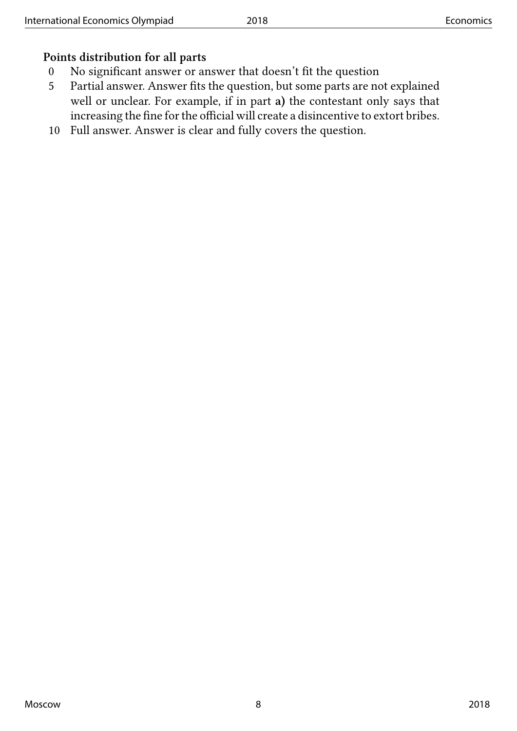### **Points distribution for all parts**

- 0 No significant answer or answer that doesn't fit the question
- 5 Partial answer. Answer fits the question, but some parts are not explained well or unclear. For example, if in part **a)** the contestant only says that increasing the fine for the official will create a disincentive to extort bribes.
- 10 Full answer. Answer is clear and fully covers the question.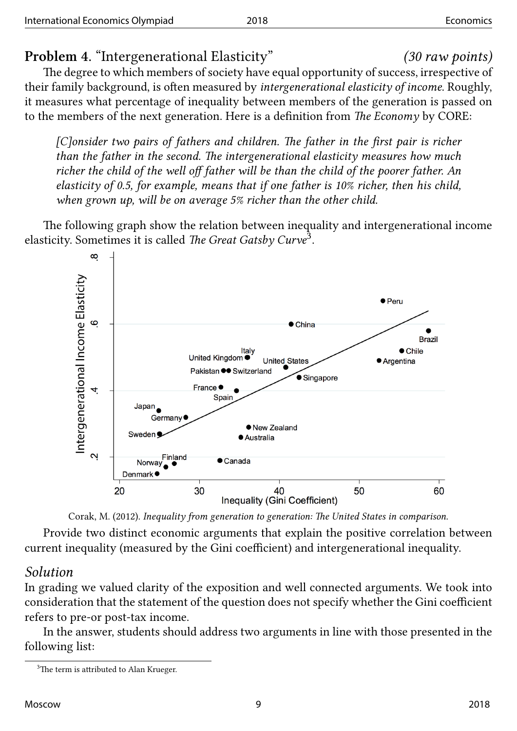### **Problem 4.** "Intergenerational Elasticity" *(30 raw points)*

The degree to which members of society have equal opportunity of success, irrespective of their family background, is often measured by *intergenerational elasticity of income*. Roughly, it measures what percentage of inequality between members of the generation is passed on to the members of the next generation. Here is a definition from *The Economy* by CORE:

*[C]onsider two pairs of fathers and children. The father in the first pair is richer than the father in the second. The intergenerational elasticity measures how much richer the child of the well off father will be than the child of the poorer father. An elasticity of 0.5, for example, means that if one father is 10% richer, then his child, when grown up, will be on average 5% richer than the other child.*

The following graph show the relation between inequality and intergenerational income elasticity. Sometimes it is called *The Great Gatsby Curve*<sup>3</sup> .



Corak, M. (2012). *Inequality from generation to generation: The United States in comparison.*

Provide two distinct economic arguments that explain the positive correlation between current inequality (measured by the Gini coefficient) and intergenerational inequality.

### *Solution*

In grading we valued clarity of the exposition and well connected arguments. We took into consideration that the statement of the question does not specify whether the Gini coefficient refers to pre-or post-tax income.

In the answer, students should address two arguments in line with those presented in the following list:

<sup>&</sup>lt;sup>3</sup>The term is attributed to Alan Krueger.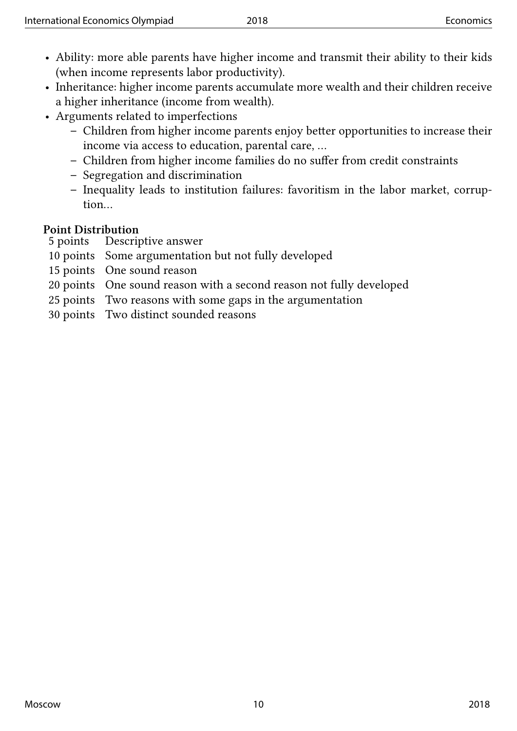- Ability: more able parents have higher income and transmit their ability to their kids (when income represents labor productivity).
- Inheritance: higher income parents accumulate more wealth and their children receive a higher inheritance (income from wealth).
- Arguments related to imperfections
	- **–** Children from higher income parents enjoy better opportunities to increase their income via access to education, parental care, …
	- **–** Children from higher income families do no suffer from credit constraints
	- **–** Segregation and discrimination
	- **–** Inequality leads to institution failures: favoritism in the labor market, corruption…

### **Point Distribution**

- 5 points Descriptive answer
- 10 points Some argumentation but not fully developed
- 15 points One sound reason
- 20 points One sound reason with a second reason not fully developed
- 25 points Two reasons with some gaps in the argumentation
- 30 points Two distinct sounded reasons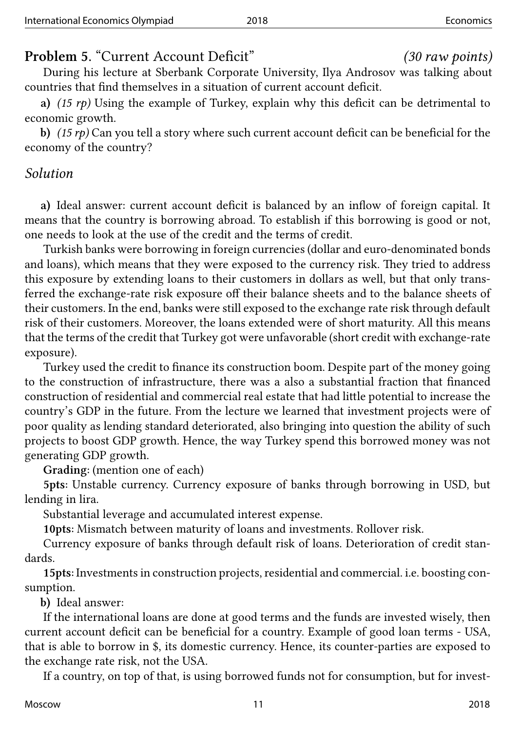## **Problem 5.** "Current Account Deficit" *(30 raw points)*

During his lecture at Sberbank Corporate University, Ilya Androsov was talking about countries that find themselves in a situation of current account deficit.

**a)** *(15 rp)* Using the example of Turkey, explain why this deficit can be detrimental to economic growth.

**b)** *(15 rp)* Can you tell a story where such current account deficit can be beneficial for the economy of the country?

### *Solution*

**a)** Ideal answer: current account deficit is balanced by an inflow of foreign capital. It means that the country is borrowing abroad. To establish if this borrowing is good or not, one needs to look at the use of the credit and the terms of credit.

Turkish banks were borrowing in foreign currencies (dollar and euro-denominated bonds and loans), which means that they were exposed to the currency risk. They tried to address this exposure by extending loans to their customers in dollars as well, but that only transferred the exchange-rate risk exposure off their balance sheets and to the balance sheets of their customers. In the end, banks were still exposed to the exchange rate risk through default risk of their customers. Moreover, the loans extended were of short maturity. All this means that the terms of the credit that Turkey got were unfavorable (short credit with exchange-rate exposure).

Turkey used the credit to finance its construction boom. Despite part of the money going to the construction of infrastructure, there was a also a substantial fraction that financed construction of residential and commercial real estate that had little potential to increase the country's GDP in the future. From the lecture we learned that investment projects were of poor quality as lending standard deteriorated, also bringing into question the ability of such projects to boost GDP growth. Hence, the way Turkey spend this borrowed money was not generating GDP growth.

**Grading:** (mention one of each)

**5pts:** Unstable currency. Currency exposure of banks through borrowing in USD, but lending in lira.

Substantial leverage and accumulated interest expense.

**10pts:** Mismatch between maturity of loans and investments. Rollover risk.

Currency exposure of banks through default risk of loans. Deterioration of credit standards.

**15pts:** Investments in construction projects, residential and commercial. i.e. boosting consumption.

**b)** Ideal answer:

If the international loans are done at good terms and the funds are invested wisely, then current account deficit can be beneficial for a country. Example of good loan terms - USA, that is able to borrow in \$, its domestic currency. Hence, its counter-parties are exposed to the exchange rate risk, not the USA.

If a country, on top of that, is using borrowed funds not for consumption, but for invest-